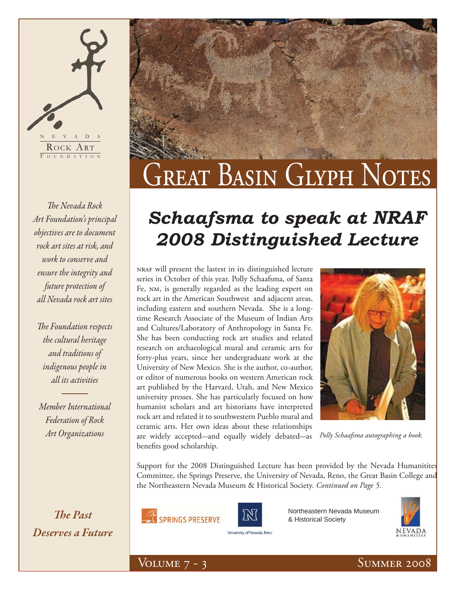# NEVADA ROCK ART F OUNDATION

**The Nevada Rock** *Art Foundation's principal objectives are to document rock art sites at risk, and work to conserve and ensure the integrity and future protection of all Nevada rock art sites*

**The Foundation respects** *the cultural heritage and traditions of indigenous people in all its activities*

*Member International Federation of Rock Art Organizations*

*The Past Deserves a Future*



### *Schaafsma to speak at NRAF 2008 Distinguished Lecture*

nraf will present the lastest in its distinguished lecture series in October of this year. Polly Schaafsma, of Santa Fe, nm, is generally regarded as the leading expert on rock art in the American Southwest and adjacent areas, including eastern and southern Nevada. She is a longtime Research Associate of the Museum of Indian Arts and Cultures/Laboratory of Anthropology in Santa Fe. She has been conducting rock art studies and related research on archaeological mural and ceramic arts for forty-plus years, since her undergraduate work at the University of New Mexico. She is the author, co-author, or editor of numerous books on western American rock art published by the Harvard, Utah, and New Mexico university presses. She has particularly focused on how humanist scholars and art historians have interpreted rock art and related it to southwestern Pueblo mural and ceramic arts. Her own ideas about these relationships are widely accepted—and equally widely debated—as benefits good scholarship.



*Polly Schaafsma autographing a book.*

Support for the 2008 Distinguished Lecture has been provided by the Nevada Humanitites Committee, the Springs Preserve, the University of Nevada, Reno, the Great Basin College and the Northeastern Nevada Museum & Historical Society. *Continued on Page 5.*





Northeastern Nevada Museum & Historical Society



University of Nevada, Reno

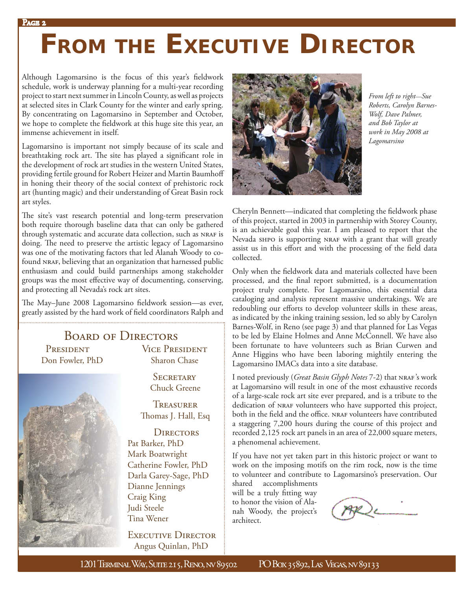# **FROM THE EXECUTIVE DIRECTOR**

Although Lagomarsino is the focus of this year's fieldwork schedule, work is underway planning for a multi-year recording project to start next summer in Lincoln County, as well as projects at selected sites in Clark County for the winter and early spring. By concentrating on Lagomarsino in September and October, we hope to complete the fieldwork at this huge site this year, an immense achievement in itself.

Lagomarsino is important not simply because of its scale and breathtaking rock art. The site has played a significant role in the development of rock art studies in the western United States, providing fertile ground for Robert Heizer and Martin Baumhoff in honing their theory of the social context of prehistoric rock art (hunting magic) and their understanding of Great Basin rock art styles.

The site's vast research potential and long-term preservation both require thorough baseline data that can only be gathered through systematic and accurate data collection, such as NRAF is doing. The need to preserve the artistic legacy of Lagomarsino was one of the motivating factors that led Alanah Woody to cofound NRAF, believing that an organization that harnessed public enthusiasm and could build partnerships among stakeholder groups was the most effective way of documenting, conserving, and protecting all Nevada's rock art sites.

The May-June 2008 Lagomarsino fieldwork session-as ever, greatly assisted by the hard work of field coordinators Ralph and

#### Board of Directors

Don Fowler, PhD Sharon Chase



PRESIDENT VICE PRESIDENT

**SECRETARY** Chuck Greene

**TREASURER** Thomas J. Hall, Esq

**DIRECTORS** Pat Barker, PhD Mark Boatwright Catherine Fowler, PhD Darla Garey-Sage, PhD Dianne Jennings Craig King Judi Steele Tina Wener

EXECUTIVE DIRECTOR Angus Quinlan, PhD



*From left to right—Sue Roberts, Carolyn Barnes-Wolf, Dave Palmer, and Bob Taylor at work in May 2008 at Lagomarsino*

Cheryln Bennett—indicated that completing the fieldwork phase of this project, started in 2003 in partnership with Storey County, is an achievable goal this year. I am pleased to report that the Nevada sHPO is supporting NRAF with a grant that will greatly assist us in this effort and with the processing of the field data collected.

Only when the fieldwork data and materials collected have been processed, and the final report submitted, is a documentation project truly complete. For Lagomarsino, this essential data cataloging and analysis represent massive undertakings. We are redoubling our efforts to develop volunteer skills in these areas, as indicated by the inking training session, led so ably by Carolyn Barnes-Wolf, in Reno (see page 3) and that planned for Las Vegas to be led by Elaine Holmes and Anne McConnell. We have also been fortunate to have volunteers such as Brian Curwen and Anne Higgins who have been laboring mightily entering the Lagomarsino IMACs data into a site database.

I noted previously (Great Basin Glyph Notes 7-2) that NRAF's work at Lagomarsino will result in one of the most exhaustive records of a large-scale rock art site ever prepared, and is a tribute to the dedication of NRAF volunteers who have supported this project, both in the field and the office. NRAF volunteers have contributed a staggering 7,200 hours during the course of this project and recorded 2,125 rock art panels in an area of 22,000 square meters, a phenomenal achievement.

If you have not yet taken part in this historic project or want to work on the imposing motifs on the rim rock, now is the time to volunteer and contribute to Lagomarsino's preservation. Our

shared accomplishments will be a truly fitting way to honor the vision of Alanah Woody, the project's architect.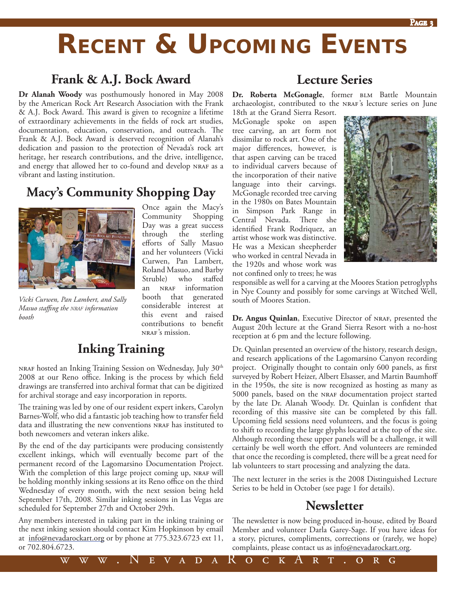### **RECENT & UPCOMING EVENTS**

#### **Frank & A.J. Bock Award**

**Dr Alanah Woody** was posthumously honored in May 2008 by the American Rock Art Research Association with the Frank & A.J. Bock Award. This award is given to recognize a lifetime of extraordinary achievements in the fields of rock art studies, documentation, education, conservation, and outreach. The Frank & A.J. Bock Award is deserved recognition of Alanah's dedication and passion to the protection of Nevada's rock art heritage, her research contributions, and the drive, intelligence, and energy that allowed her to co-found and develop NRAF as a vibrant and lasting institution.

### **Macy's Community Shopping Day**



*Vicki Curwen, Pan Lambert, and Sally Masuo staffing the NRAF information booth* 

Once again the Macy's Community Shopping Day was a great success through the sterling efforts of Sally Masuo and her volunteers (Vicki Curwen, Pan Lambert, Roland Masuo, and Barby Struble) who staffed an NRAF information booth that generated considerable interest at this event and raised contributions to benefit nraf's mission.

www.NevadaRockArt.org

### **Inking Training**

nraf hosted an Inking Training Session on Wednesday, July 30<sup>th</sup> 2008 at our Reno office. Inking is the process by which field drawings are transferred into archival format that can be digitized for archival storage and easy incorporation in reports.

The training was led by one of our resident expert inkers, Carolyn Barnes-Wolf, who did a fantastic job teaching how to transfer field data and illustrating the new conventions NRAF has instituted to both newcomers and veteran inkers alike.

By the end of the day participants were producing consistently excellent inkings, which will eventually become part of the permanent record of the Lagomarsino Documentation Project. With the completion of this large project coming up, NRAF will be holding monthly inking sessions at its Reno office on the third Wednesday of every month, with the next session being held September 17th, 2008. Similar inking sessions in Las Vegas are scheduled for September 27th and October 29th.

Any members interested in taking part in the inking training or the next inking session should contact Kim Hopkinson by email at info@nevadarockart.org or by phone at 775.323.6723 ext 11, or 702.804.6723.

#### **Lecture Series**

Dr. Roberta McGonagle, former BLM Battle Mountain archaeologist, contributed to the NRAF's lecture series on June

18th at the Grand Sierra Resort. McGonagle spoke on aspen tree carving, an art form not dissimilar to rock art. One of the major differences, however, is that aspen carving can be traced to individual carvers because of the incorporation of their native language into their carvings. McGonagle recorded tree carving in the 1980s on Bates Mountain in Simpson Park Range in Central Nevada. There she identified Frank Rodriquez, an artist whose work was distinctive. He was a Mexican sheepherder who worked in central Nevada in the 1920s and whose work was not confined only to trees; he was



responsible as well for a carving at the Moores Station petroglyphs in Nye County and possibly for some carvings at Witched Well, south of Moores Station.

**Dr. Angus Quinlan**, Executive Director of NRAF, presented the August 20th lecture at the Grand Sierra Resort with a no-host reception at 6 pm and the lecture following.

Dr. Quinlan presented an overview of the history, research design, and research applications of the Lagomarsino Canyon recording project. Originally thought to contain only 600 panels, as first surveyed by Robert Heizer, Albert Elsasser, and Martin Baumhoff in the 1950s, the site is now recognized as hosting as many as 5000 panels, based on the nraf documentation project started by the late Dr. Alanah Woody. Dr. Quinlan is confident that recording of this massive site can be completed by this fall. Upcoming field sessions need volunteers, and the focus is going to shift to recording the large glyphs located at the top of the site. Although recording these upper panels will be a challenge, it will certainly be well worth the effort. And volunteers are reminded that once the recording is completed, there will be a great need for lab volunteers to start processing and analyzing the data.

The next lecturer in the series is the 2008 Distinguished Lecture Series to be held in October (see page 1 for details).

### **Newsletter**

The newsletter is now being produced in-house, edited by Board Member and volunteer Darla Garey-Sage. If you have ideas for a story, pictures, compliments, corrections or (rarely, we hope) complaints, please contact us as <u>info@nevadarockart.or</u>g.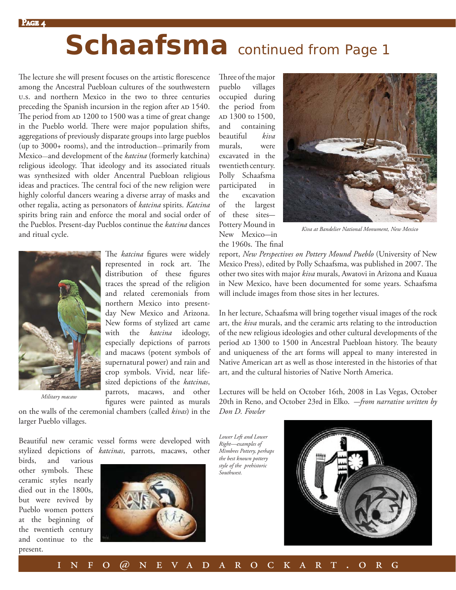# *Schaafsma continued from Page 1*

The lecture she will present focuses on the artistic florescence among the Ancestral Puebloan cultures of the southwestern u.s. and northern Mexico in the two to three centuries preceding the Spanish incursion in the region after AD 1540. The period from AD 1200 to 1500 was a time of great change in the Pueblo world. There were major population shifts, aggregations of previously disparate groups into large pueblos (up to 3000+ rooms), and the introduction*—*primarily from Mexico*—*and development of the *katcina* (formerly katchina) religious ideology. That ideology and its associated rituals was synthesized with older Ancentral Puebloan religious ideas and practices. The central foci of the new religion were highly colorful dancers wearing a diverse array of masks and other regalia, acting as personators of *katcina* spirits. *Katcina* spirits bring rain and enforce the moral and social order of the Pueblos. Present-day Pueblos continue the *katcina* dances and ritual cycle.



The *katcina* figures were widely represented in rock art. The distribution of these figures traces the spread of the religion and related ceremonials from northern Mexico into presentday New Mexico and Arizona. New forms of stylized art came with the *katcina* ideology, especially depictions of parrots and macaws (potent symbols of supernatural power) and rain and crop symbols. Vivid, near lifesized depictions of the *katcinas*, parrots, macaws, and other figures were painted as murals

on the walls of the ceremonial chambers (called *kivas*) in the *Military macaw*

birds, and various other symbols. These ceramic styles nearly died out in the 1800s, but were revived by Pueblo women potters at the beginning of the twentieth century and continue to the

present.

larger Pueblo villages. Beautiful new ceramic vessel forms were developed with

stylized depictions of *katcinas*, parrots, macaws, other



Three of the major pueblo villages occupied during the period from AD 1300 to 1500, and containing beautiful *kiva* murals, were excavated in the twentieth century. Polly Schaafsma participated in the excavation of the largest of these sites— Pottery Mound in New Mexico—in



*Kiva at Bandelier National Monument, New Mexico*

the 1960s. The final

report, *New Perspectives on Pottery Mound Pueblo* (University of New Mexico Press), edited by Polly Schaafsma, was published in 2007. The other two sites with major *kiva* murals, Awatovi in Arizona and Kuaua in New Mexico, have been documented for some years. Schaafsma will include images from those sites in her lectures.

In her lecture, Schaafsma will bring together visual images of the rock art, the *kiva* murals, and the ceramic arts relating to the introduction of the new religious ideologies and other cultural developments of the period AD 1300 to 1500 in Ancestral Puebloan history. The beauty and uniqueness of the art forms will appeal to many interested in Native American art as well as those interested in the histories of that art, and the cultural histories of Native North America.

Lectures will be held on October 16th, 2008 in Las Vegas, October 20th in Reno, and October 23rd in Elko. —*from narrative written by Don D. Fowler*

*Lower Left and Lower Right—examples of Mimbres Pottery, perhaps the best known pottery style of the prehistoric Southwest.*

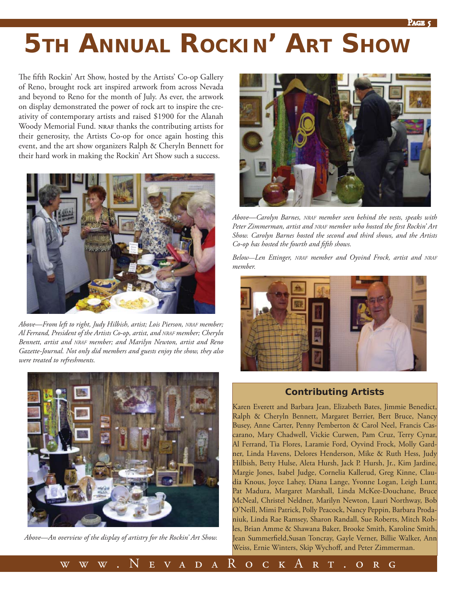### **5TH ANNUAL ROCKIN' ART SHOW**

The fifth Rockin' Art Show, hosted by the Artists' Co-op Gallery of Reno, brought rock art inspired artwork from across Nevada and beyond to Reno for the month of July. As ever, the artwork on display demonstrated the power of rock art to inspire the creativity of contemporary artists and raised \$1900 for the Alanah Woody Memorial Fund. NRAF thanks the contributing artists for their generosity, the Artists Co-op for once again hosting this event, and the art show organizers Ralph & Cheryln Bennett for their hard work in making the Rockin' Art Show such a success.



*Above—From left to right, Judy Hilbish, artist; Lois Pierson, NRAF member; Al Ferrand, President of the Artists Co-op, artist, and NRAF member; Cheryln Bennett, artist and NRAF member; and Marilyn Newton, artist and Reno Gazette-Journal. Not only did members and guests enjoy the show, they also were treated to refreshments.* 



*Above—An overview of the display of artistry for the Rockin' Art Show.*



*Above—Carolyn Barnes, NRAF member seen behind the vests, speaks with*  Peter Zimmerman, artist and NRAF member who hosted the first Rockin' Art *Show. Carolyn Barnes hosted the second and third shows, and the Artists Co-op has hosted the fourth and fifth shows.* 

*Below—Len Ettinger, NRAF member and Oyvind Frock, artist and NRAF member.*



#### *Contributing Artists*

Karen Everett and Barbara Jean, Elizabeth Bates, Jimmie Benedict, Ralph & Cheryln Bennett, Margaret Berrier, Bert Bruce, Nancy Busey, Anne Carter, Penny Pemberton & Carol Neel, Francis Cascarano, Mary Chadwell, Vickie Curwen, Pam Cruz, Terry Cynar, Al Ferrand, Tia Flores, Laramie Ford, Oyvind Frock, Molly Gardner, Linda Havens, Delores Henderson, Mike & Ruth Hess, Judy Hilbish, Betty Hulse, Aleta Hursh, Jack P. Hursh, Jr., Kim Jardine, Margie Jones, Isabel Judge, Cornelia Kallerud, Greg Kinne, Claudia Knous, Joyce Lahey, Diana Lange, Yvonne Logan, Leigh Lunt, Pat Madura, Margaret Marshall, Linda McKee-Douchane, Bruce McNeal, Christel Neldner, Marilyn Newton, Lauri Northway, Bob O'Neill, Mimi Patrick, Polly Peacock, Nancy Peppin, Barbara Prodaniuk, Linda Rae Ramsey, Sharon Randall, Sue Roberts, Mitch Robles, Brian Amme & Shawana Baker, Brooke Smith, Karoline Smith, Jean Summerfield, Susan Toncray, Gayle Verner, Billie Walker, Ann Weiss, Ernie Winters, Skip Wychoff, and Peter Zimmerman.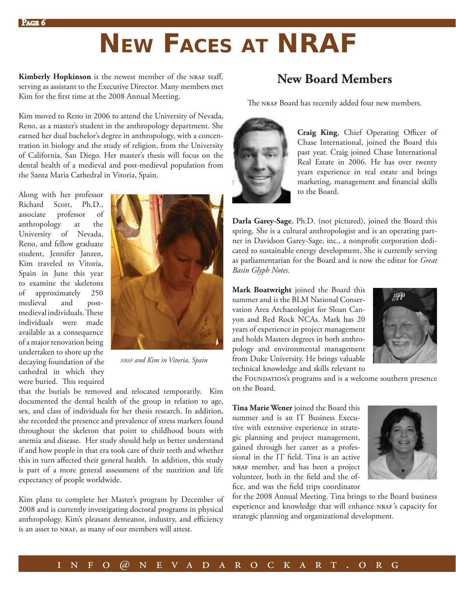## **NEW FACES AT NRAF**

**Kimberly Hopkinson** is the newest member of the NRAF staff, serving as assistant to the Executive Director. Many members met Kim for the first time at the 2008 Annual Meeting.

Kim moved to Reno in 2006 to attend the University of Nevada, Reno, as a master's student in the anthropology department. She earned her dual bachelor's degree in anthropology, with a concentration in biology and the study of religion, from the University of California, San Diego. Her master's thesis will focus on the dental health of a medieval and post-medieval population from the Santa Maria Cathedral in Vitoria, Spain.

Along with her professor Richard Scott, Ph.D., associate professor of anthropology at the University of Nevada, Reno, and fellow graduate student, Jennifer Janzen, Kim traveled to Vitoria, Spain in June this year to examine the skeletons of approximately 250 medieval and postmedieval individuals. These individuals were made available as a consequence of a major renovation being undertaken to shore up the decaying foundation of the cathedral in which they were buried. This required



*NRAF and Kim in Vitoria, Spain*

that the burials be removed and relocated temporarily. Kim documented the dental health of the group in relation to age, sex, and class of individuals for her thesis research. In addition, she recorded the presence and prevalence of stress markers found throughout the skeleton that point to childhood bouts with anemia and disease. Her study should help us better understand if and how people in that era took care of their teeth and whether this in turn affected their general health. In addition, this study is part of a more general assessment of the nutrition and life expectancy of people worldwide.

Kim plans to complete her Master's program by December of 2008 and is currently investigating doctoral programs in physical anthropology. Kim's pleasant demeanor, industry, and efficiency is an asset to NRAF, as many of our members will attest.

### **New Board Members**

The NRAF Board has recently added four new members.



Craig King, Chief Operating Officer of Chase International, joined the Board this past year. Craig joined Chase International Real Estate in 2006. He has over twenty years experience in real estate and brings marketing, management and financial skills to the Board.

**Darla Garey-Sage**, Ph.D. (not pictured), joined the Board this spring. She is a cultural anthropologist and is an operating partner in Davidson Garey-Sage, inc., a nonprofit corporation dedicated to sustainable energy development. She is currently serving as parliamentarian for the Board and is now the editor for *Great Basin Glyph Notes*.

**Mark Boatwright** joined the Board this summer and is the BLM National Conservation Area Archaeologist for Sloan Canyon and Red Rock NCAs. Mark has 20 years of experience in project management and holds Masters degrees in both anthropology and environmental management from Duke University. He brings valuable technical knowledge and skills relevant to



the FOUNDATION's programs and is a welcome southern presence on the Board.

**Tina Marie Wener** joined the Board this summer and is an IT Business Executive with extensive experience in strategic planning and project management, gained through her career as a professional in the IT field. Tina is an active nraf member, and has been a project volunteer, both in the field and the office, and was the field trips coordinator



for the 2008 Annual Meeting. Tina brings to the Board business experience and knowledge that will enhance NRAF's capacity for strategic planning and organizational development.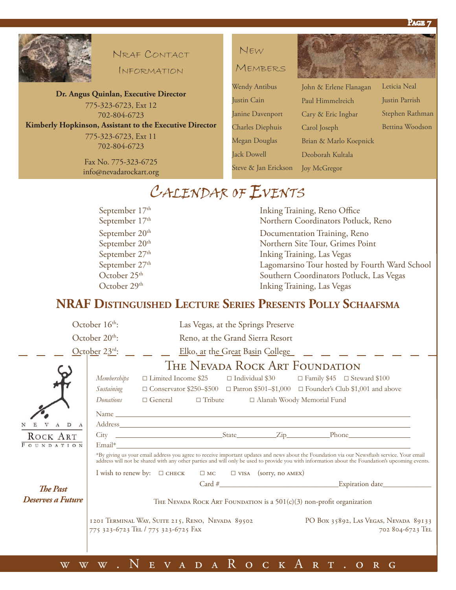

#### NRAF CONTACT

INFORMATION

**Dr. Angus Quinlan, Executive Director** 775-323-6723, Ext 12 702-804-6723 **Kimberly Hopkinson, Assistant to the Executive Director** 775-323-6723, Ext 11 702-804-6723

> Fax No. 775-323-6725 info@nevadarockart.org



MEMBERS

| <b>Wendy Antibus</b>    |
|-------------------------|
| Justin Cain             |
| Janine Davenport        |
| <b>Charles Diephuis</b> |
| Megan Douglas           |
| <b>Jack Dowell</b>      |
| Steve & Jan Erickson    |
|                         |

John & Erlene Flanagan Paul Himmelreich Cary & Eric Ingbar Carol Joseph Brian & Marlo Koepnick Deoborah Kultala Leticia Neal Justin Parrish Stephen Rathman Bettina Woodson

### CALENDAR OF EVENTS

September 17<sup>th</sup> Inking Training, Reno Office September 17<sup>th</sup> Northern Coordinators Potluck, Reno September 20<sup>th</sup> Documentation Training, Reno<br>September 20<sup>th</sup> Documentation Training, Reno<br>Northern Site Tour, Grimes Poi Northern Site Tour, Grimes Point September  $27<sup>th</sup>$  Inking Training, Las Vegas September 27<sup>th</sup> Lagomarsino Tour hosted by Fourth Ward School October 25<sup>th</sup> Southern Coordinators Potluck, Las Vegas October 29<sup>th</sup> Inking Training, Las Vegas

Joy McGregor

### **NRAF DISTINGUISHED LECTURE SERIES PRESENTS POLLY SCHAAFSMA**

|                        | October $16th$ :<br>Las Vegas, at the Springs Preserve                                                                                                                                                                                                                                         |
|------------------------|------------------------------------------------------------------------------------------------------------------------------------------------------------------------------------------------------------------------------------------------------------------------------------------------|
|                        | October $20th$ :<br>Reno, at the Grand Sierra Resort                                                                                                                                                                                                                                           |
|                        | October 23rd:<br>Elko, at the Great Basin College                                                                                                                                                                                                                                              |
|                        | The Nevada Rock Art Foundation<br>$\Box$ Limited Income \$25<br>$\Box$ Individual \$30 $\Box$ Family \$45 $\Box$ Steward \$100<br><i>Memberships</i><br>Sustaining<br>$\Box$ Conservator \$250-\$500 $\Box$ Patron \$501-\$1,000 $\Box$ Founder's Club \$1,001 and above                       |
| A D A                  | $\Box$ General $\Box$ Tribute<br>Donations<br>□ Alanah Woody Memorial Fund                                                                                                                                                                                                                     |
| ROCK ART<br>FOUNDATION | *By giving us your email address you agree to receive important updates and news about the Foundation via our Newsflash service. Your email<br>address will not be shared with any other parties and will only be used to provide you with information about the Foundation's upcoming events. |
| <b>The Past</b>        | I wish to renew by: $\square$ CHECK $\square$ MC $\square$ VISA (sorry, no AMEX)                                                                                                                                                                                                               |
| Deserves a Future      | THE NEVADA ROCK ART FOUNDATION is a 501(c)(3) non-profit organization                                                                                                                                                                                                                          |
|                        | 1201 TERMINAL WAY, SUITE 215, RENO, NEVADA 89502<br>PO Box 35892, LAS VEGAS, NEVADA 89133<br>775 323-6723 TEL / 775 323-6725 FAX<br>702 804-6723 TEL                                                                                                                                           |
| $\overline{\text{W}}$  | $\overline{V}$ A D A $R$<br>O C K A R T<br>$\mathbf{E}$<br>$\overline{O}$ R G                                                                                                                                                                                                                  |